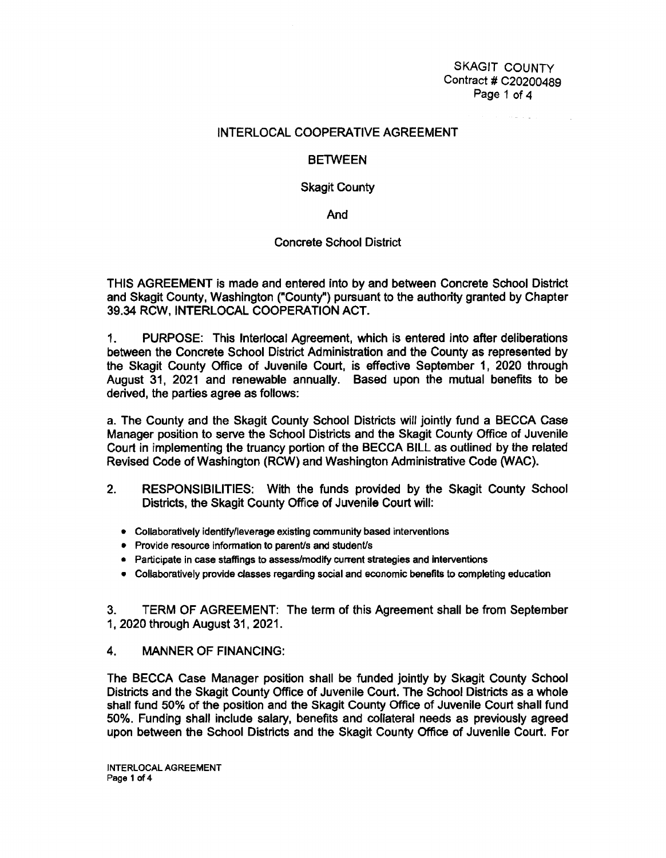SKAGIT COUNTY Contract # C20200489 Page 1 of 4

## INTERLOCAL COOPERATIVE AGREEMENT

## **BETWEEN**

#### Skagit County

And

# Concrete School District

THIS AGREEMENT is made and entered into by and between Concrete School District and Skagit County, Washington ("County") pursuant to the authority granted by Chapter 39.34 RCW, INTERLOCAL COOPERATION ACT.

1. PURPOSE: This lnterlocal Agreement, which is entered into after deliberations between the Concrete School District Administration and the County as represented by the Skagit County Office of Juvenile Court, is effective September 1, 2020 through August 31, 2021 and renewable annually. Based upon the mutual benefits to be derived, the parties agree as follows:

a. The County and the Skagit County School Districts will jointly fund a BECCA Case Manager position to serve the School Districts and the Skagit County Office of Juvenile Court in implementing the truancy portion of the BECCA BILL as outlined by the related Revised Code of Washington (RCW) and Washington Administrative Code (WAC).

- 2. RESPONSIBILITIES: With the funds provided by the Skagit County School Districts, the Skagit County Office of Juvenile Court will:
	- Collaboratively identify/leverage existing community based interventions
	- Provide resource information to parent/s and student/s
	- Participate in case staffings to assess/modify current strategies and interventions
	- Collaboratively provide classes regarding social and economic benefits to completing education

3. TERM OF AGREEMENT: The term of this Agreement shall be from September 1, 2020 through August 31, 2021.

# 4. **MANNER** OF **FINANCING:**

The BECCA Case Manager position shall be funded jointly by Skagit County School Districts and the Skagit County Office of Juvenile Court. The School Districts as a whole shall fund 50% of the position and the Skagit County Office of Juvenile Court shall fund 50%. Funding shall include salary, benefits and collateral needs as previously agreed upon between the School Districts and the Skagit County Office of Juvenile Court. For

INTERLOCAL AGREEMENT Page 1 of 4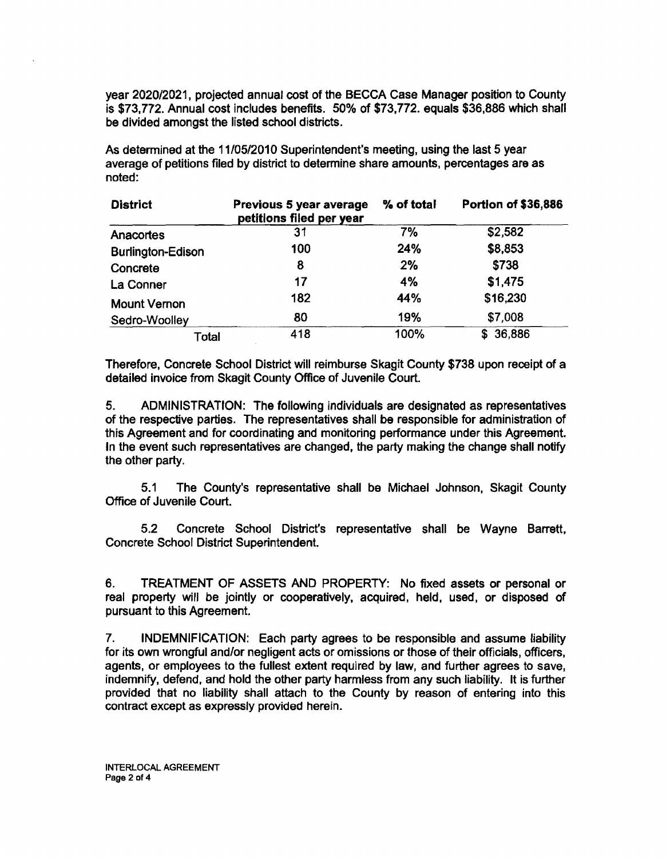year 2020/2021, projected annual cost of the BECCA Case Manager position to County is \$73,772. Annual cost includes benefits. 50% of \$73,772. equals \$36,886 which shall be divided amongst the listed school districts.

As determined at the 11/05/2010 Superintendent's meeting, using the last 5 year average of petitions filed by district to determine share amounts, percentages are as noted:

| <b>District</b>          | Previous 5 year average<br>petitions filed per year | % of total | <b>Portion of \$36,886</b> |
|--------------------------|-----------------------------------------------------|------------|----------------------------|
| Anacortes                | 31                                                  | 7%         | \$2,582                    |
| <b>Burlington-Edison</b> | 100                                                 | 24%        | \$8,853                    |
| Concrete                 | 8                                                   | 2%         | \$738                      |
| La Conner                | 17                                                  | 4%         | \$1,475                    |
| <b>Mount Vernon</b>      | 182                                                 | 44%        | \$16,230                   |
| Sedro-Woolley            | 80                                                  | 19%        | \$7,008                    |
| Total                    | 418                                                 | 100%       | 36,886<br>S.               |

Therefore, Concrete School District will reimburse Skagit County \$738 upon receipt of a detailed invoice from Skagit County Office of Juvenile Court.

5. ADMINISTRATION: The following individuals are designated as representatives of the respective parties. The representatives shall be responsible for administration of this Agreement and for coordinating and monitoring performance under this Agreement. In the event such representatives are changed, the party making the change shall notify the other party.

5.1 The County's representative shall be Michael Johnson, Skagit County Office of Juvenile Court.

5.2 Concrete School District's representative shall be Wayne Barrett, Concrete School District Superintendent.

6. TREATMENT OF ASSETS AND PROPERTY: No fixed assets or personal or real property will be jointly or cooperatively, acquired, held, used, or disposed of pursuant to this Agreement.

7. INDEMNIFICATION: Each party agrees to be responsible and assume liability for its own wrongful and/or negligent acts or omissions or those of their officials, officers, agents, or employees to the fullest extent required by law, and further agrees to save, indemnify, defend, and hold the other party harmless from any such liability. It is further provided that no liability shall attach to the County by reason of entering into this contract except as expressly provided herein.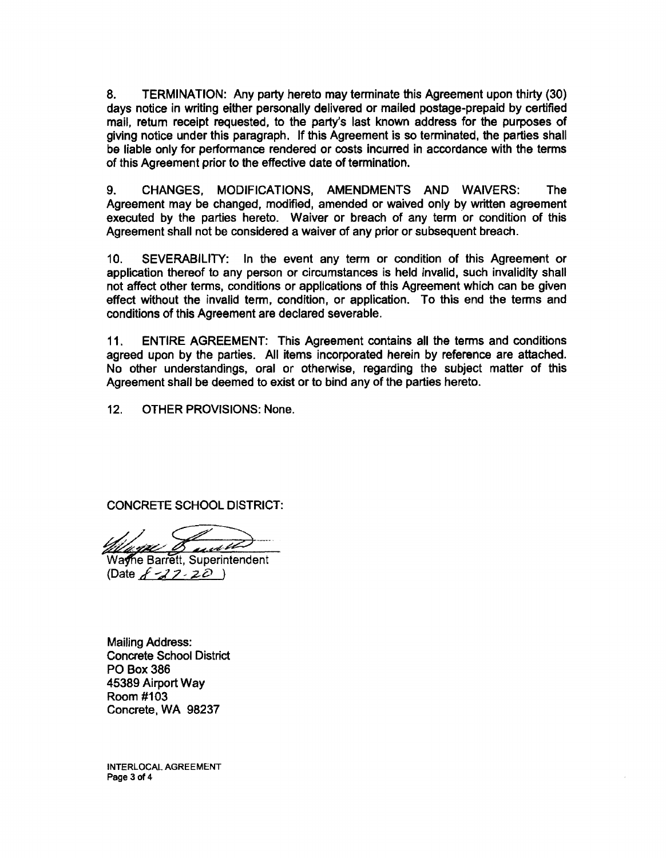8. TERMINATION: Any party hereto may terminate this Agreement upon thirty (30) days notice in writing either personally delivered or mailed postage-prepaid by certified mail, return receipt requested, to the party's last known address for the purposes of giving notice under this paragraph. If this Agreement is so terminated, the parties shall be liable only for performance rendered or costs incurred in accordance with the terms of this Agreement prior to the effective date of termination.

9. CHANGES, MODIFICATIONS, AMENDMENTS AND WAIVERS: The Agreement may be changed, modified, amended or waived only by written agreement executed by the parties hereto. Waiver or breach of any term or condition of this Agreement shall not be considered a waiver of any prior or subsequent breach.

10. SEVERABILITY: In the event any term or condition of this Agreement or application thereof to any person or circumstances is held invalid, such invalidity shall not affect other terms, conditions or applications of this Agreement which can be given effect without the invalid term, condition, or application. To this end the terms and conditions of this Agreement are declared severable.

11. ENTIRE AGREEMENT: This Agreement contains all the terms and conditions agreed upon by the parties. All items incorporated herein by reference are attached. No other understandings, oral or otherwise, regarding the subject matter of this Agreement shall be deemed to exist or to bind any of the parties hereto.

12. OTHER PROVISIONS: None.

CONCRETE SCHOOL DISTRICT:

and

Wayne Barrett, Superintendent (Date  $\cancel{f}$  - $\cancel{27}$  -  $\cancel{20}$  )

Mailing Address: Concrete School District PO Box386 45389 Airport Way Room #103 Concrete, WA 98237

INTERLOCAL AGREEMENT Page 3 of 4